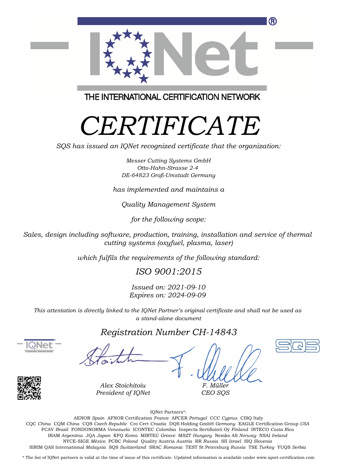

THE INTERNATIONAL CERTIFICATION NETWORK

# *CERTIFICATE*

*SQS has issued an IQNet recognized certificate that the organization:*

*Messer Cutting Systems GmbH Otto-Hahn-Strasse 2-4 DE-64823 Groß-Umstadt Germany*

*has implemented and maintains a*

*Quality Management System*

*for the following scope:*

*Sales, design including software, production, training, installation and service of thermal cutting systems (oxyfuel, plasma, laser)*

*which fulfils the requirements of the following standard:*

*ISO 9001:2015*

*Issued on: 2021-09-10 Expires on: 2024-09-09*

*This attestation is directly linked to the IQNet Partner's original certificate and shall not be used as a stand-alone document*

### *Registration Number CH-14843*





*Alex Stoichitoiu President of IQNet*

*F. Müller CEO SQS*

IQNet Partners\*:

This annex is only valid in connection with the above-mentioned certificate. FCAV *Brazil* FONDONORMA *Venezuela* ICONTEC *Colombia* Inspecta Sertifiointi Oy *Finland* INTECO *Costa Rica* AENOR *Spain* AFNOR Certification *France* APCER *Portugal* CCC *Cyprus* CISQ Italy CQC *China* CQM *China* CQS *Czech Republic* Cro Cert *Croatia* DQS Holding GmbH *Germany* EAGLE Certification Group *USA* IRAM *Argentina* JQA *Japan* KFQ *Korea* MIRTEC *Greece* MSZT *Hungary* Nemko AS *Norway* NSAI *Ireland* NYCE-SIGE *México* PCBC *Poland* Quality Austria *Austria* RR *Russia* SII *Israel* SIQ *Slovenia* SIRIM QAS International *Malaysia* SQS *Switzerland* SRAC *Romania* TEST St Petersburg *Russia* TSE *Turkey* YUQS *Serbia*

\* The list of IQNet partners is valid at the time of issue of this certificate. Updated information is available under www.iqnet-certification.com